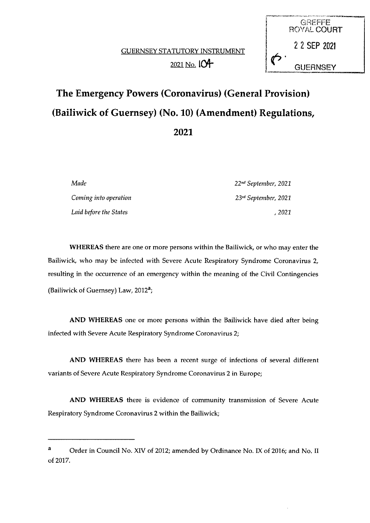

# The Emergency Powers (Coronavirus) (General Provision) (Bailiwick of Guernsey) (No. 10) (Amendment) Regulations, 2021

Coming into operation  $23<sup>rd</sup> September, 2021$ Laid before the States , 2021

Made 22nd September, 2021

WHEREAS there are one or more persons within the Bailiwick, or who may enter the Bailiwick, who may be infected with Severe Acute Respiratory Syndrome Coronavirus 2, resulting in the occurrence of an emergency within the meaning of the Civil Contingencies (Bailiwick of Guernsey) Law,  $2012^a$ ;

AND WHEREAS one or more persons within the Bailiwick have died after being infected with Severe Acute Respiratory Syndrome Coronavirus 2;

AND WHEREAS there has been a recent surge of infections of several different variants of Severe Acute Respiratory Syndrome Coronavirus 2 in Europe;

AND WHEREAS there is evidence of community transmission of Severe Acute Respiratory Syndrome Coronavirus 2 within the Bailiwick;

Order in Council No. XIV of 2012; amended by Ordinance No. IX of 2016; and No. II of 2017.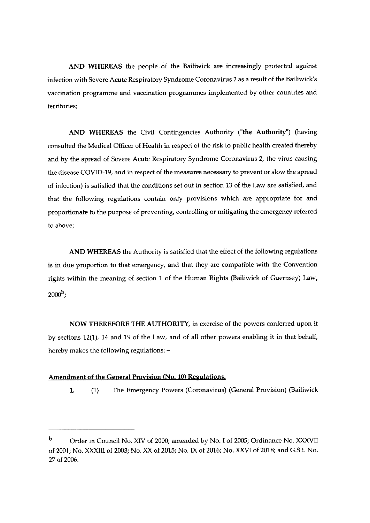AND WHEREAS the people of the Bailiwick are increasingly protected against infection with Severe Acute Respiratory Syndrome Coronavirus 2 as a result of the Bailiwick's vaccination programme and vaccination programmes implemented by other countries and territories;

AND WHEREAS the Civil Contingencies Authority ("the Authority") (having consulted the Medical Officer of Health in respect of the risk to public health created thereby and by the spread of Severe Acute Respiratory Syndrome Coronavirus 2, the virus causing the disease COVID-19, and in respect of the measures necessary to prevent or slow the spread of infection) is satisfied that the conditions set out in section 13 of the Law are satisfied, and that the following regulations contain only provisions which are appropriate for and proportionate to the purpose of preventing, controlling or mitigating the emergency referred to above;

AND WHEREAS the Authority is satisfied that the effect of the following regulations is in due proportion to that emergency, and that they are compatible with the Convention rights within the meaning of section <sup>1</sup> of the Human Rights (Bailiwick of Guernsey) Law,  $2000^b$ :

NOW THEREFORE THE AUTHORITY, in exercise of the powers conferred upon it by sections 12(1), 14 and 19 of the Law, and of all other powers enabling it in that behalf, hereby makes the following regulations: —

#### Amendment of the General Provision (No. 10) Regulations.

1. (1) The Emergency Powers (Coronavirus) (General Provision) (Bailiwick

b Order in Council No. XIV of 2000; amended by No. I of 2005; Ordinance No. XXXVII of 2001; No. XXXIII of 2003; No. XX of 2015; No. IX of 2016; No. XXVI of 2018; and G.S.I. No. 27 of 2006.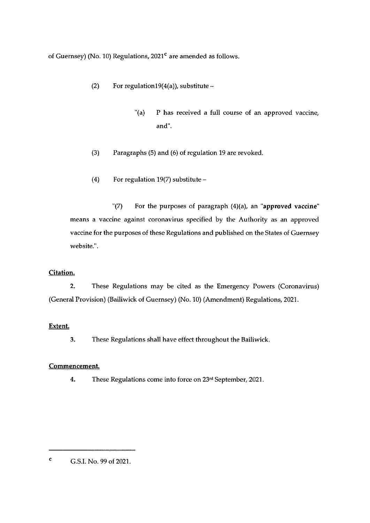of Guernsey) (No. 10) Regulations,  $2021<sup>c</sup>$  are amended as follows.

- (2) For regulation19(4(a)), substitute  $-$ 
	- "(a) P has received a full course of an approved vaccine, and'.
- (3) Paragraphs (5) and (6) of regulation 19 are revoked.
- (4) For regulation 19(7) substitute —

 $'(7)$  For the purposes of paragraph  $(4)(a)$ , an "approved vaccine" means a vaccine against coronavirus specified by the Authority as an approved vaccine for the purposes of these Regulations and published on the States of Guernsey website.".

## Citation.

2. These Regulations may be cited as the Emergency Powers (Coronavirus) (General Provision) (Bailiwick of Guernsey) (No. 10) (Amendment) Regulations, 2021.

## Extent.

3. These Regulations shall have effect throughout the Bailiwick.

## Commencement.

4. These Regulations come into force on 23rd September, 2021.

<sup>c</sup> G.S.I. No. 99 of 2021.